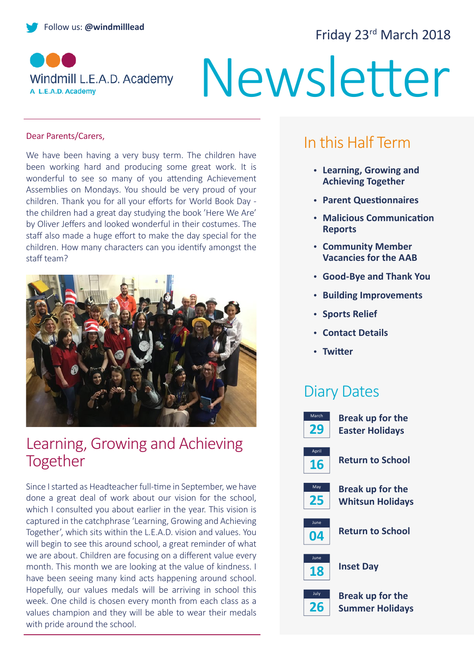# Follow us: **@windmilllead** Follow us: **@windmillead** Friday 23<sup>rd</sup> March 2018



# Newsletter

#### Dear Parents/Carers,

We have been having a very busy term. The children have been working hard and producing some great work. It is wonderful to see so many of you attending Achievement Assemblies on Mondays. You should be very proud of your children. Thank you for all your efforts for World Book Day the children had a great day studying the book 'Here We Are' by Oliver Jeffers and looked wonderful in their costumes. The staff also made a huge effort to make the day special for the children. How many characters can you identify amongst the staff team?



#### Learning, Growing and Achieving Together

Since I started as Headteacher full-time in September, we have done a great deal of work about our vision for the school, which I consulted you about earlier in the year. This vision is captured in the catchphrase 'Learning, Growing and Achieving Together', which sits within the L.E.A.D. vision and values. You will begin to see this around school, a great reminder of what we are about. Children are focusing on a different value every month. This month we are looking at the value of kindness. I have been seeing many kind acts happening around school. Hopefully, our values medals will be arriving in school this week. One child is chosen every month from each class as a values champion and they will be able to wear their medals with pride around the school.

# In this Half Term

- **Learning, Growing and Achieving Together**
- **Parent Questionnaires**
- **Malicious Communication Reports**
- **Community Member Vacancies for the AAB**
- **Good-Bye and Thank You**
- **Building Improvements**
- **Sports Relief**
- **Contact Details**
- **Twitter**

#### Diary Dates

| March       | <b>Break up for the</b> |
|-------------|-------------------------|
| 29          | <b>Easter Holidays</b>  |
| April<br>16 | Return to School        |
| May         | <b>Break up for the</b> |
| 25          | <b>Whitsun Holidays</b> |
| June<br>04  | <b>Return to School</b> |
| June<br>18  | <b>Inset Day</b>        |
| July        | <b>Break up for the</b> |
| 26          | <b>Summer Holidays</b>  |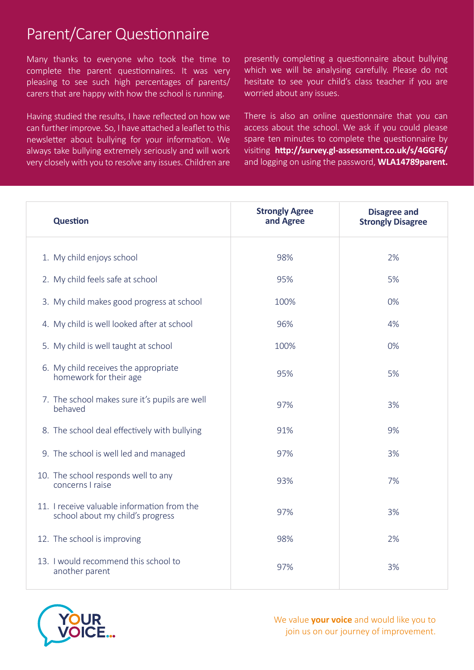# Parent/Carer Questionnaire

Many thanks to everyone who took the time to complete the parent questionnaires. It was very pleasing to see such high percentages of parents/ carers that are happy with how the school is running.

Having studied the results, I have reflected on how we can further improve. So, I have attached a leaflet to this newsletter about bullying for your information. We always take bullying extremely seriously and will work very closely with you to resolve any issues. Children are presently completing a questionnaire about bullying which we will be analysing carefully. Please do not hesitate to see your child's class teacher if you are worried about any issues.

There is also an online questionnaire that you can access about the school. We ask if you could please spare ten minutes to complete the questionnaire by visiting **http://survey.gl-assessment.co.uk/s/4GGF6/** and logging on using the password, **WLA14789parent.**

| <b>Question</b>                                                                 | <b>Strongly Agree</b><br>and Agree | <b>Disagree and</b><br><b>Strongly Disagree</b> |
|---------------------------------------------------------------------------------|------------------------------------|-------------------------------------------------|
| 1. My child enjoys school                                                       | 98%                                | 2%                                              |
| 2. My child feels safe at school                                                | 95%                                | 5%                                              |
| 3. My child makes good progress at school                                       | 100%                               | 0%                                              |
| 4. My child is well looked after at school                                      | 96%                                | 4%                                              |
| 5. My child is well taught at school                                            | 100%                               | 0%                                              |
| 6. My child receives the appropriate<br>homework for their age                  | 95%                                | 5%                                              |
| 7. The school makes sure it's pupils are well<br>behaved                        | 97%                                | 3%                                              |
| 8. The school deal effectively with bullying                                    | 91%                                | 9%                                              |
| 9. The school is well led and managed                                           | 97%                                | 3%                                              |
| 10. The school responds well to any<br>concerns I raise                         | 93%                                | 7%                                              |
| 11. I receive valuable information from the<br>school about my child's progress | 97%                                | 3%                                              |
| 12. The school is improving                                                     | 98%                                | 2%                                              |
| 13. I would recommend this school to<br>another parent                          | 97%                                | 3%                                              |



We value **your voice** and would like you to join us on our journey of improvement.